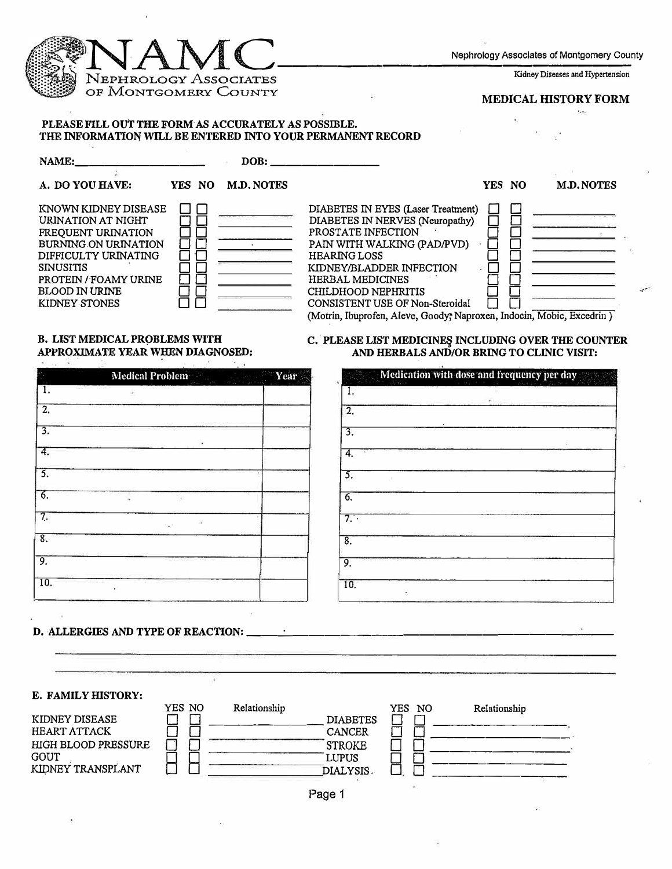

## **B. LIST MEDICAL PROBLEMS WITH APPROXIMATE YEAR WHEN DIAGNOSED:**

|                           | Medical Problem       | Year |                            |
|---------------------------|-----------------------|------|----------------------------|
| 1.                        | ¥.                    |      |                            |
| $\overline{2}$ .          |                       |      | $\overline{2}$             |
| $\overline{3}$ .          |                       |      | $\overline{3}$ .           |
| 4.                        | υ.                    |      | 4.                         |
| 3.                        |                       |      | 5.                         |
| 6.                        | ٠                     |      | б.                         |
| 7,                        | s<br>$\mathcal{O}(2)$ |      | 7.                         |
| $\overline{\mathbf{8}}$ . |                       |      | $\overline{\mathcal{S}}$ . |
| 9.                        |                       |      | 9.                         |
| $\overline{10}$ .         | ¥G.                   |      | $\overline{10}$ .          |
|                           |                       |      |                            |

## **D. ALLERGIES AND TYPE OF REACTION: \_\_ ....:..\_ \_\_\_\_\_\_\_\_\_\_\_\_\_\_\_\_\_\_\_ \_**

**C. PLEASE LIST MEDICINE� INCLUDING OVER THE COUNTER AND HERBALS AND/OR BRING TO CLINIC VISIT:** 

| Year<br><b>Medical Problem</b> | Medication with dose and frequency per day |
|--------------------------------|--------------------------------------------|
|                                | 1.                                         |
|                                | $\overline{2}$                             |
|                                | $\overline{3}$ .                           |
|                                | 4.                                         |
|                                | 5.                                         |
|                                | 6.                                         |
|                                | 7.                                         |
|                                | $\overline{8}$ .                           |
|                                | 9.                                         |
|                                | $\overline{10}$ .                          |
|                                |                                            |

**E. FAMILY HISTORY:** 

|                     | YES NO | Relationship |                 | YES. | NO. | Relationship |
|---------------------|--------|--------------|-----------------|------|-----|--------------|
| KIDNEY DISEASE      |        |              | <b>DIABETES</b> |      |     |              |
| <b>HEART ATTACK</b> |        |              | <b>CANCER</b>   |      |     |              |
| HIGH BLOOD PRESSURE |        |              | <b>STROKE</b>   |      |     |              |
| GOUT                |        |              | LUPUS           |      |     |              |
| KIDNEY TRANSPLANT   |        |              | DIALYSIS.       |      |     |              |
|                     |        |              |                 |      |     |              |